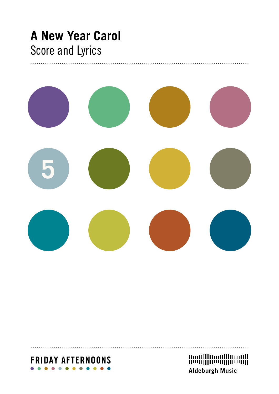## **A New Year Carol** Score and Lyrics



## **FRIDAY AFTERNOONS**

**Aldeburgh Music**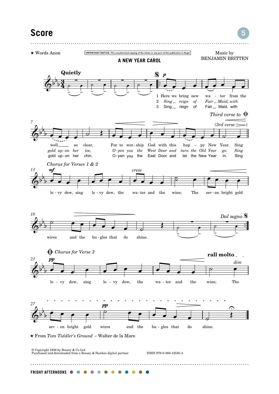